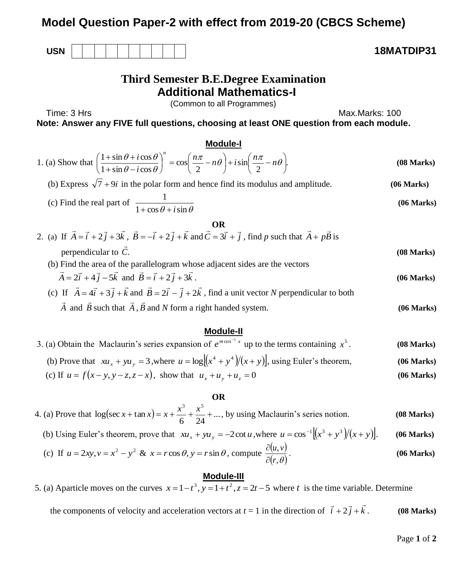# **Model Question Paper-2 with effect from 2019-20 (CBCS Scheme)**

**USN 18MATDIP31**

# **Third Semester B.E.Degree Examination Additional Mathematics-I**

(Common to all Programmes)

Time: 3 Hrs Max.Marks: 100

**Note: Answer any FIVE full questions, choosing at least ONE question from each module.**

#### **Module-I**

| 1. (a) Show that $\left(\frac{1+\sin\theta+i\cos\theta}{1+\sin\theta-i\cos\theta}\right)^n = \cos\left(\frac{n\pi}{2}-n\theta\right)+i\sin\left(\frac{n\pi}{2}-n\theta\right)$ . | $(08 \text{ Marks})$ |
|----------------------------------------------------------------------------------------------------------------------------------------------------------------------------------|----------------------|
| (b) Express $\sqrt{7} + 9i$ in the polar form and hence find its modulus and amplitude.                                                                                          | (06 Marks)           |
| (c) Find the real part of $\frac{1}{1 + \cos \theta + i \sin \theta}$                                                                                                            | (06 Marks)           |

| OR                                                                                                                                                                            |                      |
|-------------------------------------------------------------------------------------------------------------------------------------------------------------------------------|----------------------|
| 2. (a) If $\vec{A} = \vec{i} + 2\vec{j} + 3\vec{k}$ , $\vec{B} = -\vec{i} + 2\vec{j} + \vec{k}$ and $\vec{C} = 3\vec{i} + \vec{j}$ , find p such that $\vec{A} + p\vec{B}$ is |                      |
| perpendicular to $\vec{C}$ .                                                                                                                                                  | $(08 \text{ Marks})$ |
| (b) Find the area of the parallelogram whose adjacent sides are the vectors                                                                                                   |                      |
| $\vec{A} = 2\vec{i} + 4\vec{j} - 5\vec{k}$ and $\vec{B} = \vec{i} + 2\vec{j} + 3\vec{k}$ .                                                                                    | (06 Marks)           |
| (c) If $\vec{A} = 4\vec{i} + 3\vec{j} + \vec{k}$ and $\vec{B} = 2\vec{i} - \vec{j} + 2\vec{k}$ , find a unit vector N perpendicular to both                                   |                      |
|                                                                                                                                                                               |                      |

 *A* and  $\overrightarrow{B}$ such that *A* , *B* and *N* form a right handed system. **(06 Marks)**

## **Module-II**

| 3. (a) Obtain the Maclaurin's series expansion of $e^{m\cos^{-1} x}$ up to the terms containing $x^5$ . | (08 Marks) |
|---------------------------------------------------------------------------------------------------------|------------|
| (b) Prove that $xu_x + yu_y = 3$ , where $u = \log((x^4 + y^4)/(x + y))$ , using Euler's theorem,       | (06 Marks) |
| (c) If $u = f(x - y, y - z, z - x)$ , show that $u_x + u_y + u_z = 0$                                   | (06 Marks) |

## **OR**

4. (a) Prove that  $\log(\sec x + \tan x) = x + \frac{x}{2} + \frac{x}{3} + ...$ 6 24  $\log(\sec x + \tan x)$ 3 5  $f(x + \tan x) = x + \frac{x^3}{x^3} + \frac{x^5}{x^2} + \dots$ , by using Maclaurin's series notion. **(08 Marks)** 

(b) Using Euler's theorem, prove that  $xu_x + yu_y = -2 \cot u$ , where  $u = \cos^{-1}[(x^3 + y^3)/(x + y)]$ . (06 Marks) (c) If  $u = 2xy, v = x^2 - y^2$  &  $x = r \cos \theta, y = r \sin \theta$ , compute  $\frac{\partial (u, v)}{\partial (u, v)}$  $(r,\theta)$ , *r u v*  $\partial$  $\partial$ . **(06 Marks)**

## **Module-III**

5. (a) Aparticle moves on the curves  $x = 1 - t^3$ ,  $y = 1 + t^2$ ,  $z = 2t - 5$  where *t* is the time variable. Determine

the components of velocity and acceleration vectors at  $t = 1$  in the direction of  $\vec{i} + 2\vec{j} + k$ .<br>7. litora 2 . **(08 Marks)**